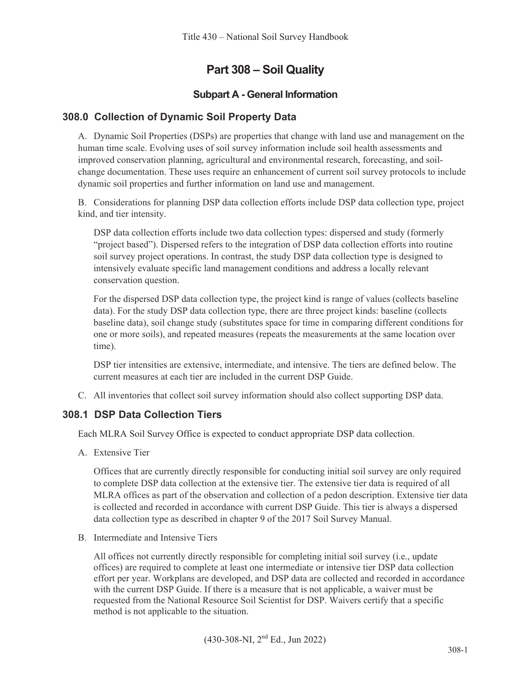# **Part 308 – Soil Quality**

## **Subpart A - General Information**

### **308.0 Collection of Dynamic Soil Property Data**

A. Dynamic Soil Properties (DSPs) are properties that change with land use and management on the human time scale. Evolving uses of soil survey information include soil health assessments and improved conservation planning, agricultural and environmental research, forecasting, and soilchange documentation. These uses require an enhancement of current soil survey protocols to include dynamic soil properties and further information on land use and management.

B. Considerations for planning DSP data collection efforts include DSP data collection type, project kind, and tier intensity.

DSP data collection efforts include two data collection types: dispersed and study (formerly "project based"). Dispersed refers to the integration of DSP data collection efforts into routine soil survey project operations. In contrast, the study DSP data collection type is designed to intensively evaluate specific land management conditions and address a locally relevant conservation question.

For the dispersed DSP data collection type, the project kind is range of values (collects baseline data). For the study DSP data collection type, there are three project kinds: baseline (collects baseline data), soil change study (substitutes space for time in comparing different conditions for one or more soils), and repeated measures (repeats the measurements at the same location over time).

DSP tier intensities are extensive, intermediate, and intensive. The tiers are defined below. The current measures at each tier are included in the current DSP Guide.

C. All inventories that collect soil survey information should also collect supporting DSP data.

### **308.1 DSP Data Collection Tiers**

Each MLRA Soil Survey Office is expected to conduct appropriate DSP data collection.

A. Extensive Tier

Offices that are currently directly responsible for conducting initial soil survey are only required to complete DSP data collection at the extensive tier. The extensive tier data is required of all MLRA offices as part of the observation and collection of a pedon description. Extensive tier data is collected and recorded in accordance with current DSP Guide. This tier is always a dispersed data collection type as described in chapter 9 of the 2017 Soil Survey Manual.

B. Intermediate and Intensive Tiers

All offices not currently directly responsible for completing initial soil survey (i.e., update offices) are required to complete at least one intermediate or intensive tier DSP data collection effort per year. Workplans are developed, and DSP data are collected and recorded in accordance with the current DSP Guide. If there is a measure that is not applicable, a waiver must be requested from the National Resource Soil Scientist for DSP. Waivers certify that a specific method is not applicable to the situation.